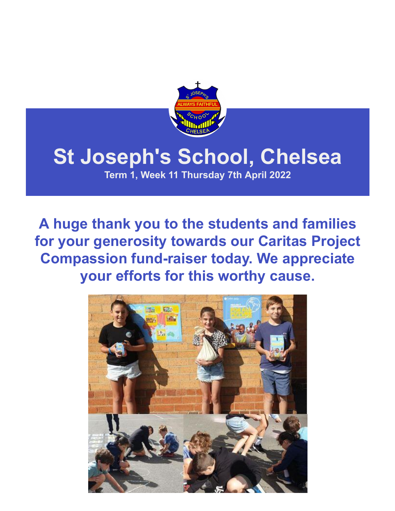

# **St Joseph's School, Chelsea**

**Term 1, Week 11 Thursday 7th April 2022**

**A huge thank you to the students and families for your generosity towards our Caritas Project Compassion fund-raiser today. We appreciate your efforts for this worthy cause.**

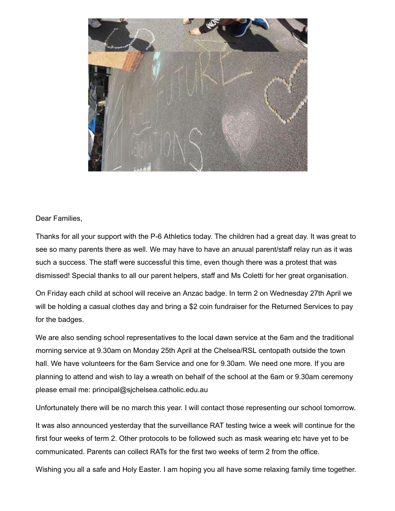

#### Dear Families,

Thanks for all your support with the P-6 Athletics today. The children had a great day. It was great to see so many parents there as well. We may have to have an anuual parent/staff relay run as it was such a success. The staff were successful this time, even though there was a protest that was dismissed! Special thanks to all our parent helpers, staff and Ms Coletti for her great organisation.

On Friday each child at school will receive an Anzac badge. In term 2 on Wednesday 27th April we will be holding a casual clothes day and bring a \$2 coin fundraiser for the Returned Services to pay for the badges.

We are also sending school representatives to the local dawn service at the 6am and the traditional morning service at 9.30am on Monday 25th April at the Chelsea/RSL centopath outside the town hall. We have volunteers for the 6am Service and one for 9.30am. We need one more. If you are planning to attend and wish to lay a wreath on behalf of the school at the 6am or 9.30am ceremony please email me: principal@sjchelsea.catholic.edu.au

Unfortunately there will be no march this year. I will contact those representing our school tomorrow.

It was also announced yesterday that the surveillance RAT testing twice a week will continue for the first four weeks of term 2. Other protocols to be followed such as mask wearing etc have yet to be communicated. Parents can collect RATs for the first two weeks of term 2 from the office.

Wishing you all a safe and Holy Easter. I am hoping you all have some relaxing family time together.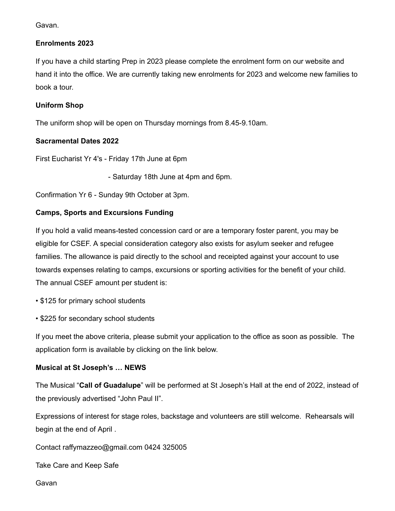Gavan.

#### **Enrolments 2023**

If you have a child starting Prep in 2023 please complete the enrolment form on our website and hand it into the office. We are currently taking new enrolments for 2023 and welcome new families to book a tour.

#### **Uniform Shop**

The uniform shop will be open on Thursday mornings from 8.45-9.10am.

#### **Sacramental Dates 2022**

First Eucharist Yr 4's - Friday 17th June at 6pm

- Saturday 18th June at 4pm and 6pm.

Confirmation Yr 6 - Sunday 9th October at 3pm.

#### **Camps, Sports and Excursions Funding**

If you hold a valid means-tested concession card or are a temporary foster parent, you may be eligible for CSEF. A special consideration category also exists for asylum seeker and refugee families. The allowance is paid directly to the school and receipted against your account to use towards expenses relating to camps, excursions or sporting activities for the benefit of your child. The annual CSEF amount per student is:

• \$125 for primary school students

• \$225 for secondary school students

If you meet the above criteria, please submit your application to the office as soon as possible. The application form is available by clicking on the link below.

#### **Musical at St Joseph's … NEWS**

The Musical "**Call of Guadalupe**" will be performed at St Joseph's Hall at the end of 2022, instead of the previously advertised "John Paul II".

Expressions of interest for stage roles, backstage and volunteers are still welcome. Rehearsals will begin at the end of April .

Contact [raffymazzeo@gmail.com](mailto:raffymazzeo@gmail.com) 0424 325005

Take Care and Keep Safe

Gavan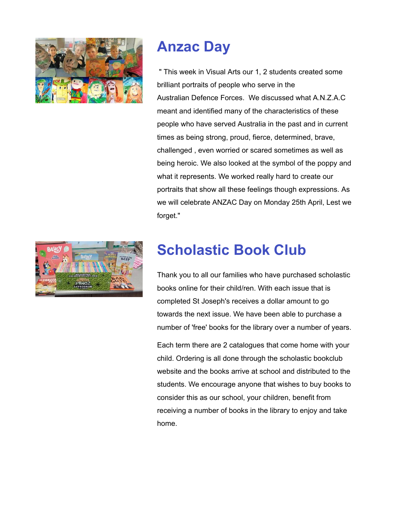

### **Anzac Day**

" This week in Visual Arts our 1, 2 students created some brilliant portraits of people who serve in the Australian Defence Forces. We discussed what A.N.Z.A.C meant and identified many of the characteristics of these people who have served Australia in the past and in current times as being strong, proud, fierce, determined, brave, challenged , even worried or scared sometimes as well as being heroic. We also looked at the symbol of the poppy and what it represents. We worked really hard to create our portraits that show all these feelings though expressions. As we will celebrate ANZAC Day on Monday 25th April, Lest we forget."

### **Scholastic Book Club**

Thank you to all our families who have purchased scholastic books online for their child/ren. With each issue that is completed St Joseph's receives a dollar amount to go towards the next issue. We have been able to purchase a number of 'free' books for the library over a number of years.

Each term there are 2 catalogues that come home with your child. Ordering is all done through the scholastic bookclub website and the books arrive at school and distributed to the students. We encourage anyone that wishes to buy books to consider this as our school, your children, benefit from receiving a number of books in the library to enjoy and take home.

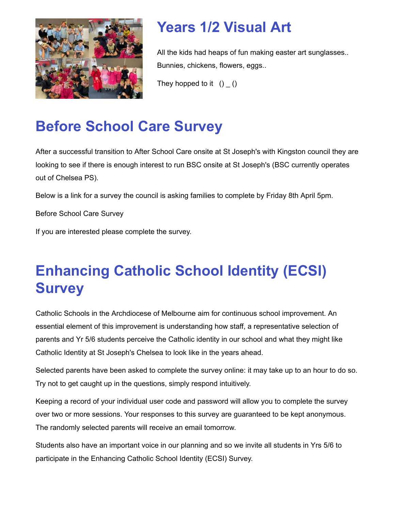

### **Years 1/2 Visual Art**

All the kids had heaps of fun making easter art sunglasses.. Bunnies, chickens, flowers, eggs..

They hopped to it  $() ( )$ 

# **Before School Care Survey**

After a successful transition to After School Care onsite at St Joseph's with Kingston council they are looking to see if there is enough interest to run BSC onsite at St Joseph's (BSC currently operates out of Chelsea PS).

Below is a link for a survey the council is asking families to complete by Friday 8th April 5pm.

[Before School Care Survey](https://www.surveymonkey.com/r/8Q7DR8P)

If you are interested please complete the survey.

# **Enhancing Catholic School Identity (ECSI) Survey**

Catholic Schools in the Archdiocese of Melbourne aim for continuous school improvement. An essential element of this improvement is understanding how staff, a representative selection of parents and Yr 5/6 students perceive the Catholic identity in our school and what they might like Catholic Identity at St Joseph's Chelsea to look like in the years ahead.

Selected parents have been asked to complete the survey online: it may take up to an hour to do so. Try not to get caught up in the questions, simply respond intuitively.

Keeping a record of your individual user code and password will allow you to complete the survey over two or more sessions. Your responses to this survey are guaranteed to be kept anonymous. The randomly selected parents will receive an email tomorrow.

Students also have an important voice in our planning and so we invite all students in Yrs 5/6 to participate in the Enhancing Catholic School Identity (ECSI) Survey.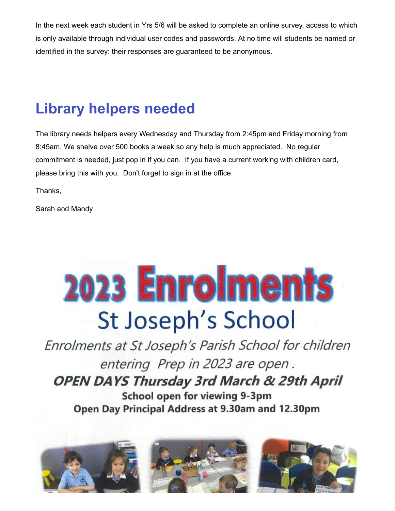In the next week each student in Yrs 5/6 will be asked to complete an online survey, access to which is only available through individual user codes and passwords. At no time will students be named or identified in the survey: their responses are guaranteed to be anonymous.

### **Library helpers needed**

The library needs helpers every Wednesday and Thursday from 2:45pm and Friday morning from 8:45am. We shelve over 500 books a week so any help is much appreciated. No regular commitment is needed, just pop in if you can. If you have a current working with children card, please bring this with you. Don't forget to sign in at the office.

Thanks,

Sarah and Mandy

# 2023 Enrolments St Joseph's School

Enrolments at St Joseph's Parish School for children entering Prep in 2023 are open. **OPEN DAYS Thursday 3rd March & 29th April** School open for viewing 9-3pm Open Day Principal Address at 9.30am and 12.30pm

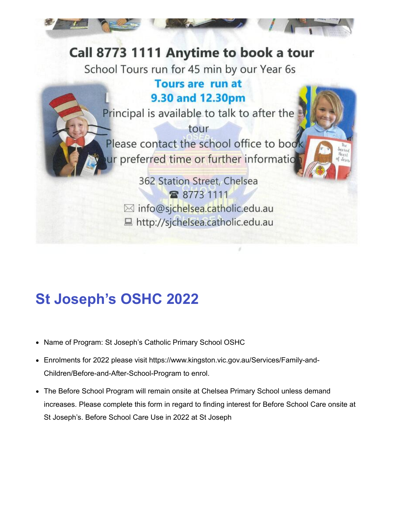### Call 8773 1111 Anytime to book a tour

School Tours run for 45 min by our Year 6s

### **Tours are run at** 9.30 and 12.30pm

Principal is available to talk to after the

tour Please contact the school office to book ur preferred time or further informatio

362 Station Street, Chelsea 雷 8773 1111 ⊠ info@sjchelsea.catholic.edu.au ■ http://sjchelsea.catholic.edu.au

# **St Joseph's OSHC 2022**

- Name of Program: St Joseph's Catholic Primary School OSHC
- [Enrolments for 2022 please visit https://www.kingston.vic.gov.au/Services/Family-and-](https://www.kingston.vic.gov.au/Services/Family-and-Children/Before-and-After-School-Program)Children/Before-and-After-School-Program to enrol.
- The Before School Program will remain onsite at Chelsea Primary School unless demand increases. Please complete this form in regard to finding interest for Before School Care onsite at St Joseph's. [Before School Care Use in 2022 at St Joseph](https://forms.gle/C3SnKUDZnK6oqNWg6)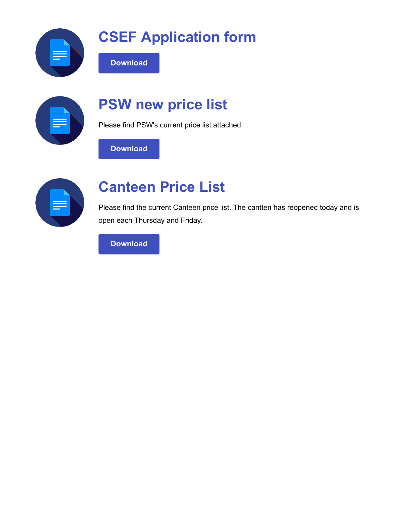

# **CSEF Application form**



# **PSW new price list**

Please find PSW's current price list attached.

**[Download](https://enewsletter.coralcommunities.com/download?file=/file_module/23506/file_download_23506_4481462279.pdf)**

**[Download](https://enewsletter.skoolbag.com.au/download?file=/file_module/25533/file_download_25533_8878436503.pdf)**



### **Canteen Price List**

Please find the current Canteen price list. The cantten has reopened today and is open each Thursday and Friday.

**[Download](https://enewsletter.coralcommunities.com/download?file=/file_module/25012/file_download_25012_574067271.pdf)**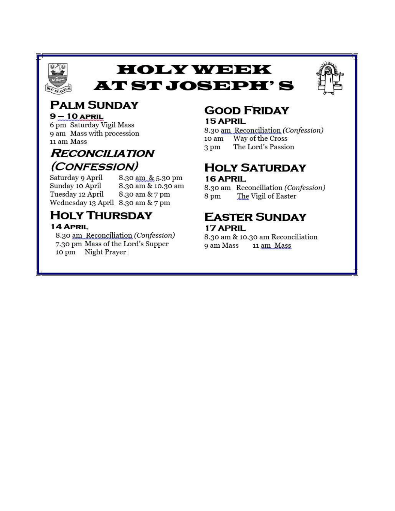

### **HOLY WEEK AT ST JOSEPH'S**



#### **PALM SUNDAY**  $9 - 10$  APRIL

6 pm Saturday Vigil Mass 9 am Mass with procession 11 am Mass

### **RECONCILIATION** (CONFESSION)

Saturday 9 April Sunday 10 April Tuesday 12 April Wednesday 13 April 8.30 am & 7 pm

8.30 am & 5.30 pm 8.30 am & 10.30 am 8.30 am & 7 pm

### **HOLY THURSDAY**

#### 14 APRIL

8.30 am Reconciliation (Confession) 7.30 pm Mass of the Lord's Supper 10 pm Night Prayer

#### **GOOD FRIDAY** 15 APRIL

8.30 am Reconciliation (Confession) Way of the Cross 10 am The Lord's Passion 3 pm

### **HOLY SATURDAY** 16 APRIL

8.30 am Reconciliation (Confession) The Vigil of Easter 8<sub>pm</sub>

### **EASTER SUNDAY** 17 APRIL

8.30 am & 10.30 am Reconciliation 9 am Mass 11 am Mass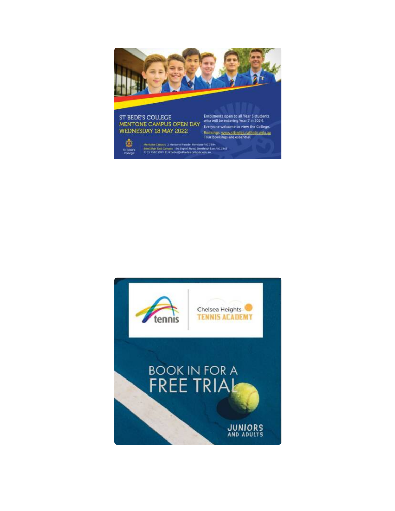

### ST BEDE'S COLLEGE<br>
MENTONE CAMPUS OPEN DAY<br>
We will be entering Year 7 in 2024.<br>
WEDNESDAY 18 MAY 2022<br>
WEDNESDAY 18 MAY 2022 WEDNESDAY 18 MAY 2022

働

St.Be<br>Colle

Bookings: www.stbedes.catholic.edu.au<br>Tour bookings are essential.

Mentone Campus 2 Mentone Parade, Mentone VIC 3194<br>Bentleigh East Campus 156 Benefit Road, Bentleigh East VIC 3165<br>P. 03 9562 5999 E. Ribedes@utbedes.catholic.edu.au